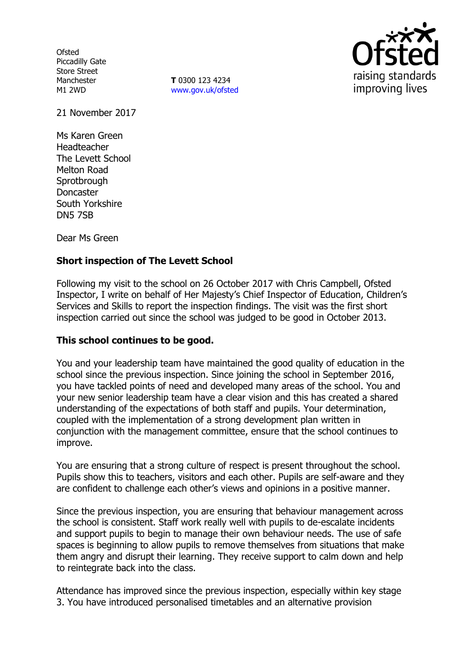**Ofsted** Piccadilly Gate Store Street Manchester M1 2WD

**T** 0300 123 4234 www.gov.uk/ofsted



21 November 2017

Ms Karen Green Headteacher The Levett School Melton Road **Sprotbrough** Doncaster South Yorkshire DN5 7SB

Dear Ms Green

# **Short inspection of The Levett School**

Following my visit to the school on 26 October 2017 with Chris Campbell, Ofsted Inspector, I write on behalf of Her Majesty's Chief Inspector of Education, Children's Services and Skills to report the inspection findings. The visit was the first short inspection carried out since the school was judged to be good in October 2013.

# **This school continues to be good.**

You and your leadership team have maintained the good quality of education in the school since the previous inspection. Since joining the school in September 2016, you have tackled points of need and developed many areas of the school. You and your new senior leadership team have a clear vision and this has created a shared understanding of the expectations of both staff and pupils. Your determination, coupled with the implementation of a strong development plan written in conjunction with the management committee, ensure that the school continues to improve.

You are ensuring that a strong culture of respect is present throughout the school. Pupils show this to teachers, visitors and each other. Pupils are self-aware and they are confident to challenge each other's views and opinions in a positive manner.

Since the previous inspection, you are ensuring that behaviour management across the school is consistent. Staff work really well with pupils to de-escalate incidents and support pupils to begin to manage their own behaviour needs. The use of safe spaces is beginning to allow pupils to remove themselves from situations that make them angry and disrupt their learning. They receive support to calm down and help to reintegrate back into the class.

Attendance has improved since the previous inspection, especially within key stage 3. You have introduced personalised timetables and an alternative provision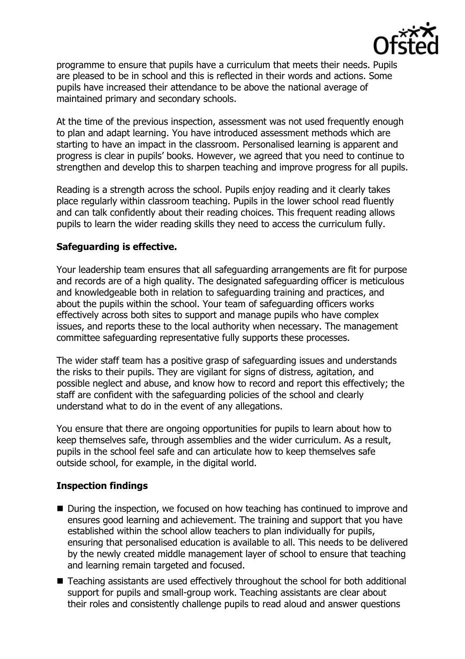

programme to ensure that pupils have a curriculum that meets their needs. Pupils are pleased to be in school and this is reflected in their words and actions. Some pupils have increased their attendance to be above the national average of maintained primary and secondary schools.

At the time of the previous inspection, assessment was not used frequently enough to plan and adapt learning. You have introduced assessment methods which are starting to have an impact in the classroom. Personalised learning is apparent and progress is clear in pupils' books. However, we agreed that you need to continue to strengthen and develop this to sharpen teaching and improve progress for all pupils.

Reading is a strength across the school. Pupils enjoy reading and it clearly takes place regularly within classroom teaching. Pupils in the lower school read fluently and can talk confidently about their reading choices. This frequent reading allows pupils to learn the wider reading skills they need to access the curriculum fully.

# **Safeguarding is effective.**

Your leadership team ensures that all safeguarding arrangements are fit for purpose and records are of a high quality. The designated safeguarding officer is meticulous and knowledgeable both in relation to safeguarding training and practices, and about the pupils within the school. Your team of safeguarding officers works effectively across both sites to support and manage pupils who have complex issues, and reports these to the local authority when necessary. The management committee safeguarding representative fully supports these processes.

The wider staff team has a positive grasp of safeguarding issues and understands the risks to their pupils. They are vigilant for signs of distress, agitation, and possible neglect and abuse, and know how to record and report this effectively; the staff are confident with the safeguarding policies of the school and clearly understand what to do in the event of any allegations.

You ensure that there are ongoing opportunities for pupils to learn about how to keep themselves safe, through assemblies and the wider curriculum. As a result, pupils in the school feel safe and can articulate how to keep themselves safe outside school, for example, in the digital world.

# **Inspection findings**

- During the inspection, we focused on how teaching has continued to improve and ensures good learning and achievement. The training and support that you have established within the school allow teachers to plan individually for pupils, ensuring that personalised education is available to all. This needs to be delivered by the newly created middle management layer of school to ensure that teaching and learning remain targeted and focused.
- Teaching assistants are used effectively throughout the school for both additional support for pupils and small-group work. Teaching assistants are clear about their roles and consistently challenge pupils to read aloud and answer questions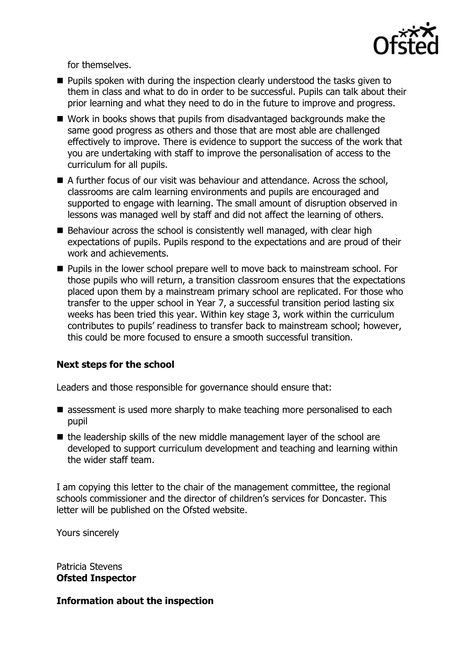

for themselves.

- **Pupils spoken with during the inspection clearly understood the tasks given to** them in class and what to do in order to be successful. Pupils can talk about their prior learning and what they need to do in the future to improve and progress.
- Work in books shows that pupils from disadvantaged backgrounds make the same good progress as others and those that are most able are challenged effectively to improve. There is evidence to support the success of the work that you are undertaking with staff to improve the personalisation of access to the curriculum for all pupils.
- A further focus of our visit was behaviour and attendance. Across the school, classrooms are calm learning environments and pupils are encouraged and supported to engage with learning. The small amount of disruption observed in lessons was managed well by staff and did not affect the learning of others.
- Behaviour across the school is consistently well managed, with clear high expectations of pupils. Pupils respond to the expectations and are proud of their work and achievements.
- **Pupils in the lower school prepare well to move back to mainstream school. For** those pupils who will return, a transition classroom ensures that the expectations placed upon them by a mainstream primary school are replicated. For those who transfer to the upper school in Year 7, a successful transition period lasting six weeks has been tried this year. Within key stage 3, work within the curriculum contributes to pupils' readiness to transfer back to mainstream school; however, this could be more focused to ensure a smooth successful transition.

# **Next steps for the school**

Leaders and those responsible for governance should ensure that:

- assessment is used more sharply to make teaching more personalised to each pupil
- $\blacksquare$  the leadership skills of the new middle management layer of the school are developed to support curriculum development and teaching and learning within the wider staff team.

I am copying this letter to the chair of the management committee, the regional schools commissioner and the director of children's services for Doncaster. This letter will be published on the Ofsted website.

Yours sincerely

Patricia Stevens **Ofsted Inspector**

**Information about the inspection**